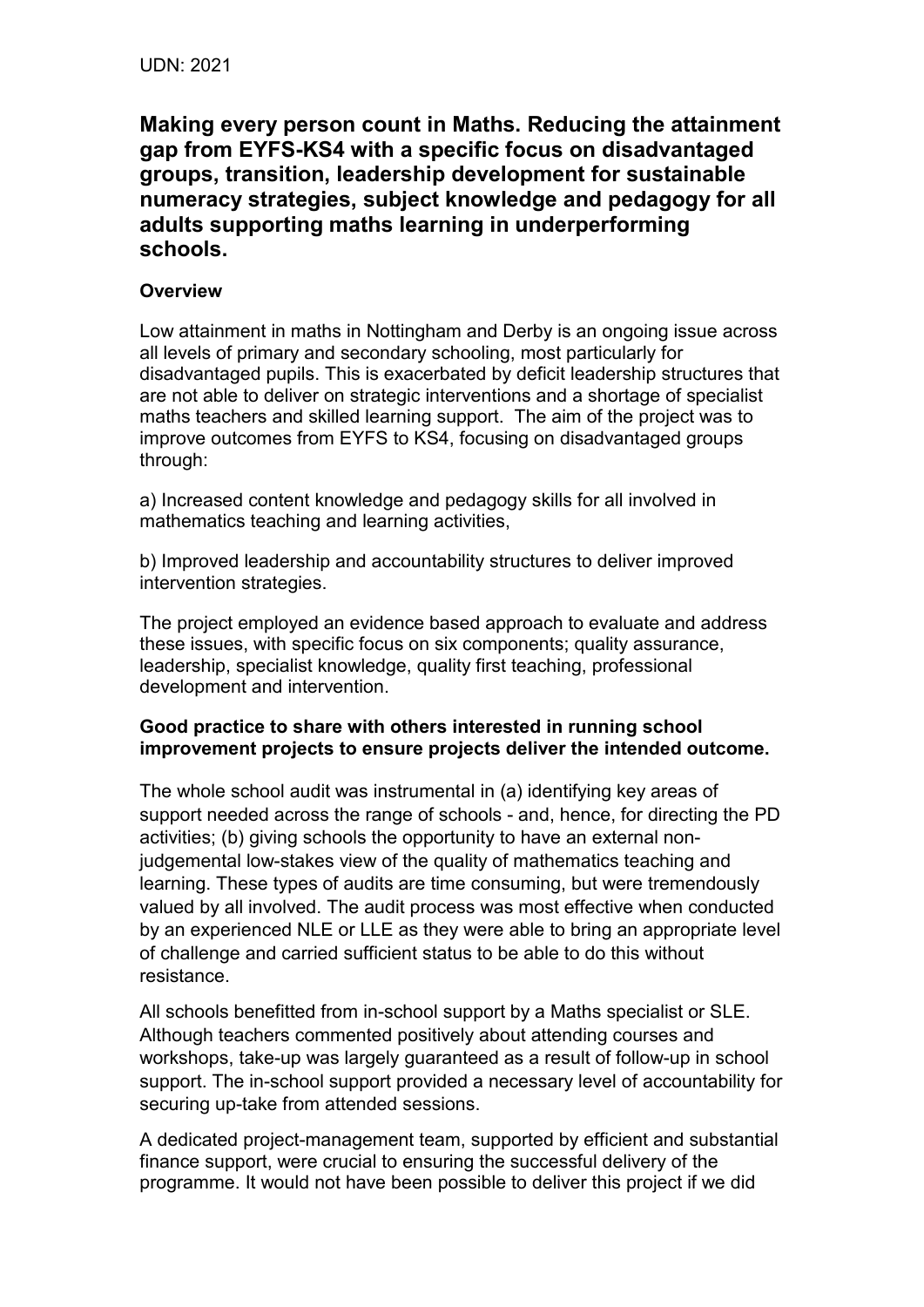**Making every person count in Maths. Reducing the attainment gap from EYFSKS4 with a specific focus on disadvantaged groups, transition, leadership development for sustainable numeracy strategies, subject knowledge and pedagogy for all adults supporting maths learning in underperforming schools.**

## **Overview**

Low attainment in maths in Nottingham and Derby is an ongoing issue across all levels of primary and secondary schooling, most particularly for disadvantaged pupils. This is exacerbated by deficit leadership structures that are not able to deliver on strategic interventions and a shortage of specialist maths teachers and skilled learning support. The aim of the project was to improve outcomes from EYFS to KS4, focusing on disadvantaged groups through:

a) Increased content knowledge and pedagogy skills for all involved in mathematics teaching and learning activities,

b) Improved leadership and accountability structures to deliver improved intervention strategies.

The project employed an evidence based approach to evaluate and address these issues, with specific focus on six components; quality assurance, leadership, specialist knowledge, quality first teaching, professional development and intervention.

## **Good practice to share with others interested in running school improvement projects to ensure projects deliver the intended outcome.**

The whole school audit was instrumental in (a) identifying key areas of support needed across the range of schools - and, hence, for directing the PD activities; (b) giving schools the opportunity to have an external nonjudgemental low-stakes view of the quality of mathematics teaching and learning. These types of audits are time consuming, but were tremendously valued by all involved. The audit process was most effective when conducted by an experienced NLE or LLE as they were able to bring an appropriate level of challenge and carried sufficient status to be able to do this without resistance.

All schools benefitted from in-school support by a Maths specialist or SLE. Although teachers commented positively about attending courses and workshops, take-up was largely guaranteed as a result of follow-up in school support. The in-school support provided a necessary level of accountability for securing up-take from attended sessions.

A dedicated project-management team, supported by efficient and substantial finance support, were crucial to ensuring the successful delivery of the programme. It would not have been possible to deliver this project if we did